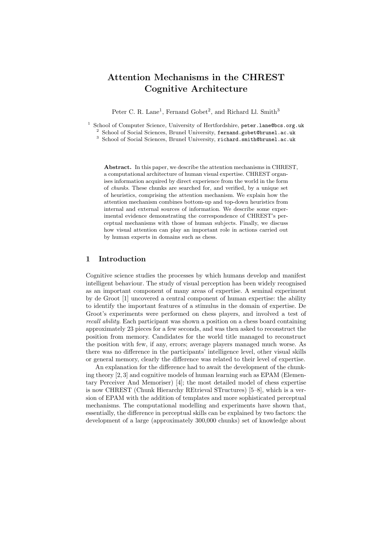# Attention Mechanisms in the CHREST Cognitive Architecture

Peter C. R. Lane<sup>1</sup>, Fernand Gobet<sup>2</sup>, and Richard Ll. Smith<sup>3</sup>

<sup>1</sup> School of Computer Science, University of Hertfordshire, peter.lane@bcs.org.uk

<sup>2</sup> School of Social Sciences, Brunel University, fernand.gobet@brunel.ac.uk

<sup>3</sup> School of Social Sciences, Brunel University, richard.smith@brunel.ac.uk

Abstract. In this paper, we describe the attention mechanisms in CHREST, a computational architecture of human visual expertise. CHREST organises information acquired by direct experience from the world in the form of chunks. These chunks are searched for, and verified, by a unique set of heuristics, comprising the attention mechanism. We explain how the attention mechanism combines bottom-up and top-down heuristics from internal and external sources of information. We describe some experimental evidence demonstrating the correspondence of CHREST's perceptual mechanisms with those of human subjects. Finally, we discuss how visual attention can play an important role in actions carried out by human experts in domains such as chess.

# 1 Introduction

Cognitive science studies the processes by which humans develop and manifest intelligent behaviour. The study of visual perception has been widely recognised as an important component of many areas of expertise. A seminal experiment by de Groot [1] uncovered a central component of human expertise: the ability to identify the important features of a stimulus in the domain of expertise. De Groot's experiments were performed on chess players, and involved a test of recall ability. Each participant was shown a position on a chess board containing approximately 23 pieces for a few seconds, and was then asked to reconstruct the position from memory. Candidates for the world title managed to reconstruct the position with few, if any, errors; average players managed much worse. As there was no difference in the participants' intelligence level, other visual skills or general memory, clearly the difference was related to their level of expertise.

An explanation for the difference had to await the development of the chunking theory [2, 3] and cognitive models of human learning such as EPAM (Elementary Perceiver And Memoriser) [4]; the most detailed model of chess expertise is now CHREST (Chunk Hierarchy REtrieval STructures) [5–8], which is a version of EPAM with the addition of templates and more sophisticated perceptual mechanisms. The computational modelling and experiments have shown that, essentially, the difference in perceptual skills can be explained by two factors: the development of a large (approximately 300,000 chunks) set of knowledge about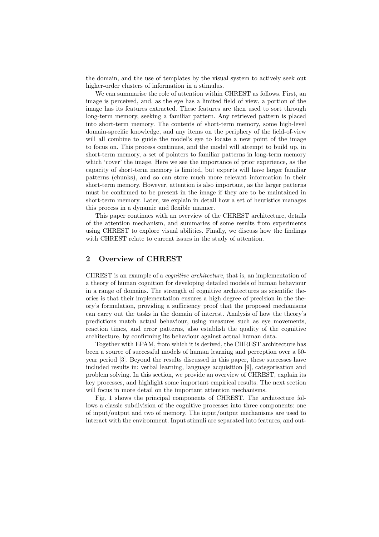the domain, and the use of templates by the visual system to actively seek out higher-order clusters of information in a stimulus.

We can summarise the role of attention within CHREST as follows. First, an image is perceived, and, as the eye has a limited field of view, a portion of the image has its features extracted. These features are then used to sort through long-term memory, seeking a familiar pattern. Any retrieved pattern is placed into short-term memory. The contents of short-term memory, some high-level domain-specific knowledge, and any items on the periphery of the field-of-view will all combine to guide the model's eye to locate a new point of the image to focus on. This process continues, and the model will attempt to build up, in short-term memory, a set of pointers to familiar patterns in long-term memory which 'cover' the image. Here we see the importance of prior experience, as the capacity of short-term memory is limited, but experts will have larger familiar patterns (chunks), and so can store much more relevant information in their short-term memory. However, attention is also important, as the larger patterns must be confirmed to be present in the image if they are to be maintained in short-term memory. Later, we explain in detail how a set of heuristics manages this process in a dynamic and flexible manner.

This paper continues with an overview of the CHREST architecture, details of the attention mechanism, and summaries of some results from experiments using CHREST to explore visual abilities. Finally, we discuss how the findings with CHREST relate to current issues in the study of attention.

## 2 Overview of CHREST

CHREST is an example of a cognitive architecture, that is, an implementation of a theory of human cognition for developing detailed models of human behaviour in a range of domains. The strength of cognitive architectures as scientific theories is that their implementation ensures a high degree of precision in the theory's formulation, providing a sufficiency proof that the proposed mechanisms can carry out the tasks in the domain of interest. Analysis of how the theory's predictions match actual behaviour, using measures such as eye movements, reaction times, and error patterns, also establish the quality of the cognitive architecture, by confirming its behaviour against actual human data.

Together with EPAM, from which it is derived, the CHREST architecture has been a source of successful models of human learning and perception over a 50 year period [3]. Beyond the results discussed in this paper, these successes have included results in: verbal learning, language acquisition [9], categorisation and problem solving. In this section, we provide an overview of CHREST, explain its key processes, and highlight some important empirical results. The next section will focus in more detail on the important attention mechanisms.

Fig. 1 shows the principal components of CHREST. The architecture follows a classic subdivision of the cognitive processes into three components: one of input/output and two of memory. The input/output mechanisms are used to interact with the environment. Input stimuli are separated into features, and out-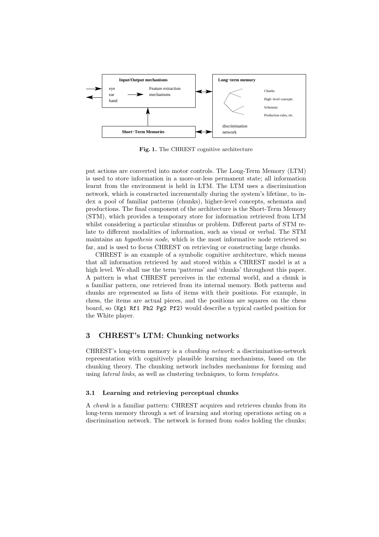

Fig. 1. The CHREST cognitive architecture

put actions are converted into motor controls. The Long-Term Memory (LTM) is used to store information in a more-or-less permanent state; all information learnt from the environment is held in LTM. The LTM uses a discrimination network, which is constructed incrementally during the system's lifetime, to index a pool of familiar patterns (chunks), higher-level concepts, schemata and productions. The final component of the architecture is the Short-Term Memory (STM), which provides a temporary store for information retrieved from LTM whilst considering a particular stimulus or problem. Different parts of STM relate to different modalities of information, such as visual or verbal. The STM maintains an *hypothesis node*, which is the most informative node retrieved so far, and is used to focus CHREST on retrieving or constructing large chunks.

CHREST is an example of a symbolic cognitive architecture, which means that all information retrieved by and stored within a CHREST model is at a high level. We shall use the term 'patterns' and 'chunks' throughout this paper. A pattern is what CHREST perceives in the external world, and a chunk is a familiar pattern, one retrieved from its internal memory. Both patterns and chunks are represented as lists of items with their positions. For example, in chess, the items are actual pieces, and the positions are squares on the chess board, so (Kg1 Rf1 Ph2 Pg2 Pf2) would describe a typical castled position for the White player.

# 3 CHREST's LTM: Chunking networks

CHREST's long-term memory is a chunking network: a discrimination-network representation with cognitively plausible learning mechanisms, based on the chunking theory. The chunking network includes mechanisms for forming and using *lateral links*, as well as clustering techniques, to form *templates*.

#### 3.1 Learning and retrieving perceptual chunks

A chunk is a familiar pattern: CHREST acquires and retrieves chunks from its long-term memory through a set of learning and storing operations acting on a discrimination network. The network is formed from *nodes* holding the chunks;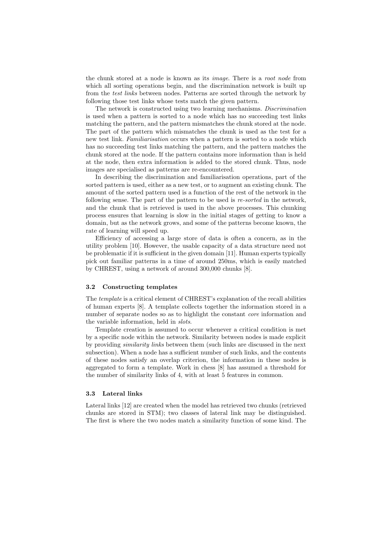the chunk stored at a node is known as its image. There is a root node from which all sorting operations begin, and the discrimination network is built up from the test links between nodes. Patterns are sorted through the network by following those test links whose tests match the given pattern.

The network is constructed using two learning mechanisms. Discrimination is used when a pattern is sorted to a node which has no succeeding test links matching the pattern, and the pattern mismatches the chunk stored at the node. The part of the pattern which mismatches the chunk is used as the test for a new test link. Familiarisation occurs when a pattern is sorted to a node which has no succeeding test links matching the pattern, and the pattern matches the chunk stored at the node. If the pattern contains more information than is held at the node, then extra information is added to the stored chunk. Thus, node images are specialised as patterns are re-encountered.

In describing the discrimination and familiarisation operations, part of the sorted pattern is used, either as a new test, or to augment an existing chunk. The amount of the sorted pattern used is a function of the rest of the network in the following sense. The part of the pattern to be used is re-sorted in the network, and the chunk that is retrieved is used in the above processes. This chunking process ensures that learning is slow in the initial stages of getting to know a domain, but as the network grows, and some of the patterns become known, the rate of learning will speed up.

Efficiency of accessing a large store of data is often a concern, as in the utility problem [10]. However, the usable capacity of a data structure need not be problematic if it is sufficient in the given domain [11]. Human experts typically pick out familiar patterns in a time of around 250ms, which is easily matched by CHREST, using a network of around 300,000 chunks [8].

#### 3.2 Constructing templates

The template is a critical element of CHREST's explanation of the recall abilities of human experts [8]. A template collects together the information stored in a number of separate nodes so as to highlight the constant *core* information and the variable information, held in slots.

Template creation is assumed to occur whenever a critical condition is met by a specific node within the network. Similarity between nodes is made explicit by providing similarity links between them (such links are discussed in the next subsection). When a node has a sufficient number of such links, and the contents of these nodes satisfy an overlap criterion, the information in these nodes is aggregated to form a template. Work in chess [8] has assumed a threshold for the number of similarity links of 4, with at least 5 features in common.

#### 3.3 Lateral links

Lateral links [12] are created when the model has retrieved two chunks (retrieved chunks are stored in STM); two classes of lateral link may be distinguished. The first is where the two nodes match a similarity function of some kind. The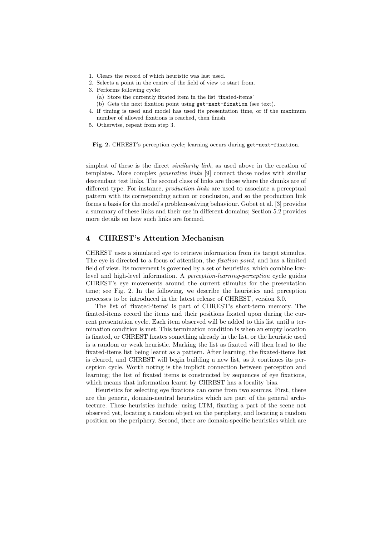- 1. Clears the record of which heuristic was last used.
- 2. Selects a point in the centre of the field of view to start from.
- 3. Performs following cycle:
	- (a) Store the currently fixated item in the list 'fixated-items'
	- (b) Gets the next fixation point using get-next-fixation (see text).
- 4. If timing is used and model has used its presentation time, or if the maximum number of allowed fixations is reached, then finish.
- 5. Otherwise, repeat from step 3.

Fig. 2. CHREST's perception cycle; learning occurs during get-next-fixation.

simplest of these is the direct *similarity link*, as used above in the creation of templates. More complex generative links [9] connect those nodes with similar descendant test links. The second class of links are those where the chunks are of different type. For instance, production links are used to associate a perceptual pattern with its corresponding action or conclusion, and so the production link forms a basis for the model's problem-solving behaviour. Gobet et al. [3] provides a summary of these links and their use in different domains; Section 5.2 provides more details on how such links are formed.

## 4 CHREST's Attention Mechanism

CHREST uses a simulated eye to retrieve information from its target stimulus. The eye is directed to a focus of attention, the *fixation point*, and has a limited field of view. Its movement is governed by a set of heuristics, which combine lowlevel and high-level information. A perception-learning-perception cycle guides CHREST's eye movements around the current stimulus for the presentation time; see Fig. 2. In the following, we describe the heuristics and perception processes to be introduced in the latest release of CHREST, version 3.0.

The list of 'fixated-items' is part of CHREST's short-term memory. The fixated-items record the items and their positions fixated upon during the current presentation cycle. Each item observed will be added to this list until a termination condition is met. This termination condition is when an empty location is fixated, or CHREST fixates something already in the list, or the heuristic used is a random or weak heuristic. Marking the list as fixated will then lead to the fixated-items list being learnt as a pattern. After learning, the fixated-items list is cleared, and CHREST will begin building a new list, as it continues its perception cycle. Worth noting is the implicit connection between perception and learning; the list of fixated items is constructed by sequences of eye fixations, which means that information learnt by CHREST has a locality bias.

Heuristics for selecting eye fixations can come from two sources. First, there are the generic, domain-neutral heuristics which are part of the general architecture. These heuristics include: using LTM, fixating a part of the scene not observed yet, locating a random object on the periphery, and locating a random position on the periphery. Second, there are domain-specific heuristics which are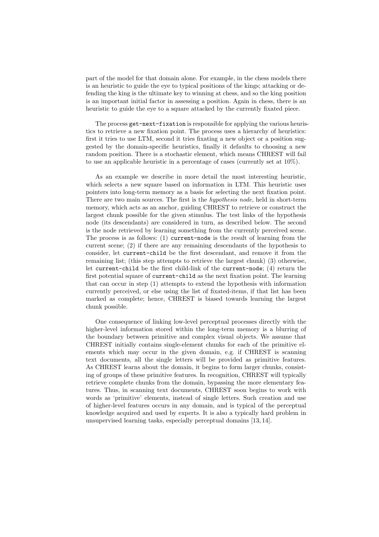part of the model for that domain alone. For example, in the chess models there is an heuristic to guide the eye to typical positions of the kings; attacking or defending the king is the ultimate key to winning at chess, and so the king position is an important initial factor in assessing a position. Again in chess, there is an heuristic to guide the eye to a square attacked by the currently fixated piece.

The process get-next-fixation is responsible for applying the various heuristics to retrieve a new fixation point. The process uses a hierarchy of heuristics: first it tries to use LTM, second it tries fixating a new object or a position suggested by the domain-specific heuristics, finally it defaults to choosing a new random position. There is a stochastic element, which means CHREST will fail to use an applicable heuristic in a percentage of cases (currently set at 10%).

As an example we describe in more detail the most interesting heuristic, which selects a new square based on information in LTM. This heuristic uses pointers into long-term memory as a basis for selecting the next fixation point. There are two main sources. The first is the *hypothesis node*, held in short-term memory, which acts as an anchor, guiding CHREST to retrieve or construct the largest chunk possible for the given stimulus. The test links of the hypothesis node (its descendants) are considered in turn, as described below. The second is the node retrieved by learning something from the currently perceived scene. The process is as follows: (1) current-node is the result of learning from the current scene; (2) if there are any remaining descendants of the hypothesis to consider, let current-child be the first descendant, and remove it from the remaining list; (this step attempts to retrieve the largest chunk) (3) otherwise, let current-child be the first child-link of the current-node; (4) return the first potential square of current-child as the next fixation point. The learning that can occur in step (1) attempts to extend the hypothesis with information currently perceived, or else using the list of fixated-items, if that list has been marked as complete; hence, CHREST is biased towards learning the largest chunk possible.

One consequence of linking low-level perceptual processes directly with the higher-level information stored within the long-term memory is a blurring of the boundary between primitive and complex visual objects. We assume that CHREST initially contains single-element chunks for each of the primitive elements which may occur in the given domain, e.g. if CHREST is scanning text documents, all the single letters will be provided as primitive features. As CHREST learns about the domain, it begins to form larger chunks, consisting of groups of these primitive features. In recognition, CHREST will typically retrieve complete chunks from the domain, bypassing the more elementary features. Thus, in scanning text documents, CHREST soon begins to work with words as 'primitive' elements, instead of single letters. Such creation and use of higher-level features occurs in any domain, and is typical of the perceptual knowledge acquired and used by experts. It is also a typically hard problem in unsupervised learning tasks, especially perceptual domains [13, 14].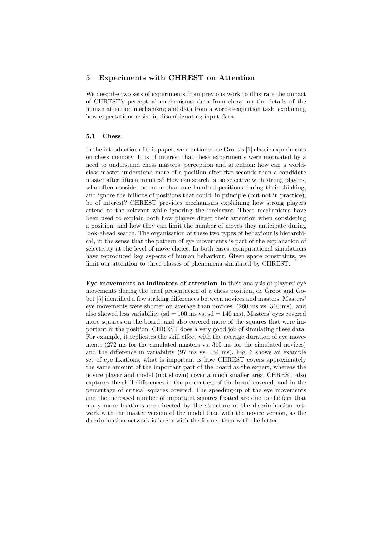# 5 Experiments with CHREST on Attention

We describe two sets of experiments from previous work to illustrate the impact of CHREST's perceptual mechanisms: data from chess, on the details of the human attention mechanism; and data from a word-recognition task, explaining how expectations assist in disambiguating input data.

# 5.1 Chess

In the introduction of this paper, we mentioned de Groot's [1] classic experiments on chess memory. It is of interest that these experiments were motivated by a need to understand chess masters' perception and attention: how can a worldclass master understand more of a position after five seconds than a candidate master after fifteen minutes? How can search be so selective with strong players, who often consider no more than one hundred positions during their thinking, and ignore the billions of positions that could, in principle (but not in practice), be of interest? CHREST provides mechanisms explaining how strong players attend to the relevant while ignoring the irrelevant. These mechanisms have been used to explain both how players direct their attention when considering a position, and how they can limit the number of moves they anticipate during look-ahead search. The organisation of these two types of behaviour is hierarchical, in the sense that the pattern of eye movements is part of the explanation of selectivity at the level of move choice. In both cases, computational simulations have reproduced key aspects of human behaviour. Given space constraints, we limit our attention to three classes of phenomena simulated by CHREST.

Eye movements as indicators of attention In their analysis of players' eye movements during the brief presentation of a chess position, de Groot and Gobet [5] identified a few striking differences between novices and masters. Masters' eye movements were shorter on average than novices' (260 ms vs. 310 ms), and also showed less variability ( $sd = 100$  ms vs.  $sd = 140$  ms). Masters' eyes covered more squares on the board, and also covered more of the squares that were important in the position. CHREST does a very good job of simulating these data. For example, it replicates the skill effect with the average duration of eye movements (272 ms for the simulated masters vs. 315 ms for the simulated novices) and the difference in variability (97 ms vs. 154 ms). Fig. 3 shows an example set of eye fixations; what is important is how CHREST covers approximately the same amount of the important part of the board as the expert, whereas the novice player and model (not shown) cover a much smaller area. CHREST also captures the skill differences in the percentage of the board covered, and in the percentage of critical squares covered. The speeding-up of the eye movements and the increased number of important squares fixated are due to the fact that many more fixations are directed by the structure of the discrimination network with the master version of the model than with the novice version, as the discrimination network is larger with the former than with the latter.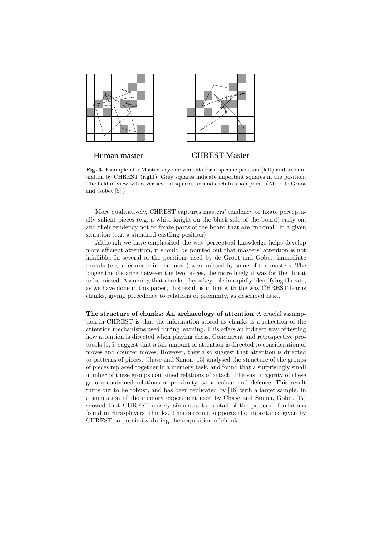



Human master CHREST Master

Fig. 3. Example of a Master's eye movements for a specific position (left) and its simulation by CHREST (right). Grey squares indicate important squares in the position. The field of view will cover several squares around each fixation point. (After de Groot and Gobet [5].)

More qualitatively, CHREST captures masters' tendency to fixate perceptually salient pieces (e.g. a white knight on the black side of the board) early on, and their tendency not to fixate parts of the board that are "normal" in a given situation (e.g. a standard castling position).

Although we have emphasised the way perceptual knowledge helps develop more efficient attention, it should be pointed out that masters' attention is not infallible. In several of the positions used by de Groot and Gobet, immediate threats (e.g. checkmate in one move) were missed by some of the masters. The longer the distance between the two pieces, the more likely it was for the threat to be missed. Assuming that chunks play a key role in rapidly identifying threats, as we have done in this paper, this result is in line with the way CHREST learns chunks, giving precedence to relations of proximity, as described next.

The structure of chunks: An archaeology of attention A crucial assumption in CHREST is that the information stored as chunks is a reflection of the attention mechanisms used during learning. This offers an indirect way of testing how attention is directed when playing chess. Concurrent and retrospective protocols [1, 5] suggest that a fair amount of attention is directed to consideration of moves and counter moves. However, they also suggest that attention is directed to patterns of pieces. Chase and Simon [15] analysed the structure of the groups of pieces replaced together in a memory task, and found that a surprisingly small number of these groups contained relations of attack. The vast majority of these groups contained relations of proximity, same colour and defence. This result turns out to be robust, and has been replicated by [16] with a larger sample. In a simulation of the memory experiment used by Chase and Simon, Gobet [17] showed that CHREST closely simulates the detail of the pattern of relations found in chessplayers' chunks. This outcome supports the importance given by CHREST to proximity during the acquisition of chunks.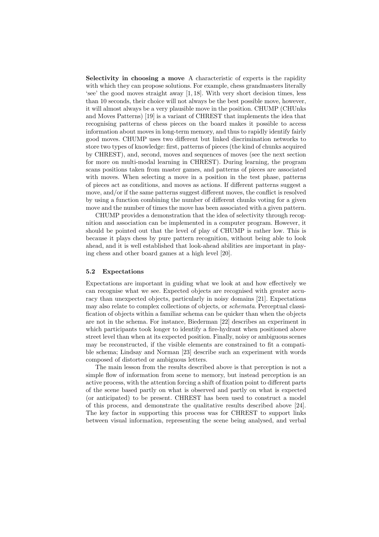Selectivity in choosing a move A characteristic of experts is the rapidity with which they can propose solutions. For example, chess grandmasters literally 'see' the good moves straight away [1, 18]. With very short decision times, less than 10 seconds, their choice will not always be the best possible move, however, it will almost always be a very plausible move in the position. CHUMP (CHUnks and Moves Patterns) [19] is a variant of CHREST that implements the idea that recognising patterns of chess pieces on the board makes it possible to access information about moves in long-term memory, and thus to rapidly identify fairly good moves. CHUMP uses two different but linked discrimination networks to store two types of knowledge: first, patterns of pieces (the kind of chunks acquired by CHREST), and, second, moves and sequences of moves (see the next section for more on multi-modal learning in CHREST). During learning, the program scans positions taken from master games, and patterns of pieces are associated with moves. When selecting a move in a position in the test phase, patterns of pieces act as conditions, and moves as actions. If different patterns suggest a move, and/or if the same patterns suggest different moves, the conflict is resolved by using a function combining the number of different chunks voting for a given move and the number of times the move has been associated with a given pattern.

CHUMP provides a demonstration that the idea of selectivity through recognition and association can be implemented in a computer program. However, it should be pointed out that the level of play of CHUMP is rather low. This is because it plays chess by pure pattern recognition, without being able to look ahead, and it is well established that look-ahead abilities are important in playing chess and other board games at a high level [20].

#### 5.2 Expectations

Expectations are important in guiding what we look at and how effectively we can recognise what we see. Expected objects are recognised with greater accuracy than unexpected objects, particularly in noisy domains [21]. Expectations may also relate to complex collections of objects, or schemata. Perceptual classification of objects within a familiar schema can be quicker than when the objects are not in the schema. For instance, Biederman [22] describes an experiment in which participants took longer to identify a fire-hydrant when positioned above street level than when at its expected position. Finally, noisy or ambiguous scenes may be reconstructed, if the visible elements are constrained to fit a compatible schema; Lindsay and Norman [23] describe such an experiment with words composed of distorted or ambiguous letters.

The main lesson from the results described above is that perception is not a simple flow of information from scene to memory, but instead perception is an active process, with the attention forcing a shift of fixation point to different parts of the scene based partly on what is observed and partly on what is expected (or anticipated) to be present. CHREST has been used to construct a model of this process, and demonstrate the qualitative results described above [24]. The key factor in supporting this process was for CHREST to support links between visual information, representing the scene being analysed, and verbal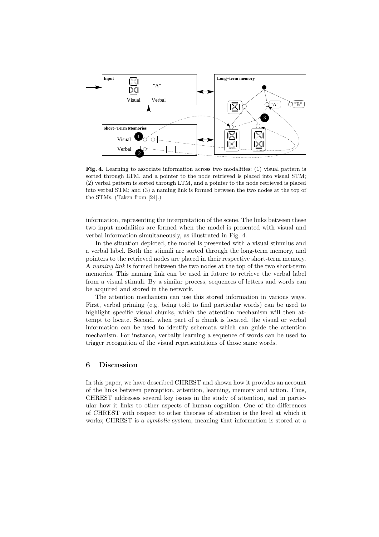

Fig. 4. Learning to associate information across two modalities: (1) visual pattern is sorted through LTM, and a pointer to the node retrieved is placed into visual STM; (2) verbal pattern is sorted through LTM, and a pointer to the node retrieved is placed into verbal STM; and (3) a naming link is formed between the two nodes at the top of the STMs. (Taken from [24].)

information, representing the interpretation of the scene. The links between these two input modalities are formed when the model is presented with visual and verbal information simultaneously, as illustrated in Fig. 4.

In the situation depicted, the model is presented with a visual stimulus and a verbal label. Both the stimuli are sorted through the long-term memory, and pointers to the retrieved nodes are placed in their respective short-term memory. A naming link is formed between the two nodes at the top of the two short-term memories. This naming link can be used in future to retrieve the verbal label from a visual stimuli. By a similar process, sequences of letters and words can be acquired and stored in the network.

The attention mechanism can use this stored information in various ways. First, verbal priming (e.g. being told to find particular words) can be used to highlight specific visual chunks, which the attention mechanism will then attempt to locate. Second, when part of a chunk is located, the visual or verbal information can be used to identify schemata which can guide the attention mechanism. For instance, verbally learning a sequence of words can be used to trigger recognition of the visual representations of those same words.

#### 6 Discussion

In this paper, we have described CHREST and shown how it provides an account of the links between perception, attention, learning, memory and action. Thus, CHREST addresses several key issues in the study of attention, and in particular how it links to other aspects of human cognition. One of the differences of CHREST with respect to other theories of attention is the level at which it works; CHREST is a *symbolic* system, meaning that information is stored at a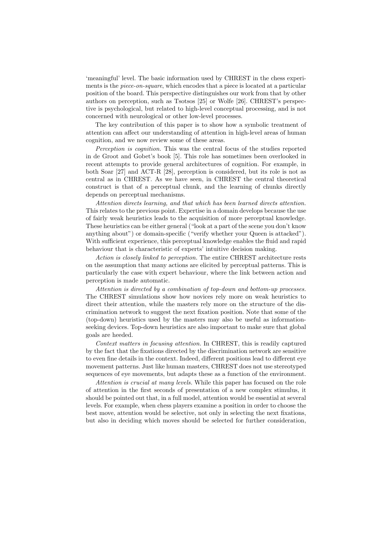'meaningful' level. The basic information used by CHREST in the chess experiments is the *piece-on-square*, which encodes that a piece is located at a particular position of the board. This perspective distinguishes our work from that by other authors on perception, such as Tsotsos [25] or Wolfe [26]. CHREST's perspective is psychological, but related to high-level conceptual processing, and is not concerned with neurological or other low-level processes.

The key contribution of this paper is to show how a symbolic treatment of attention can affect our understanding of attention in high-level areas of human cognition, and we now review some of these areas.

Perception is cognition. This was the central focus of the studies reported in de Groot and Gobet's book [5]. This role has sometimes been overlooked in recent attempts to provide general architectures of cognition. For example, in both Soar [27] and ACT-R [28], perception is considered, but its role is not as central as in CHREST. As we have seen, in CHREST the central theoretical construct is that of a perceptual chunk, and the learning of chunks directly depends on perceptual mechanisms.

Attention directs learning, and that which has been learned directs attention. This relates to the previous point. Expertise in a domain develops because the use of fairly weak heuristics leads to the acquisition of more perceptual knowledge. These heuristics can be either general ("look at a part of the scene you don't know anything about") or domain-specific ("verify whether your Queen is attacked"). With sufficient experience, this perceptual knowledge enables the fluid and rapid behaviour that is characteristic of experts' intuitive decision making.

Action is closely linked to perception. The entire CHREST architecture rests on the assumption that many actions are elicited by perceptual patterns. This is particularly the case with expert behaviour, where the link between action and perception is made automatic.

Attention is directed by a combination of top-down and bottom-up processes. The CHREST simulations show how novices rely more on weak heuristics to direct their attention, while the masters rely more on the structure of the discrimination network to suggest the next fixation position. Note that some of the (top-down) heuristics used by the masters may also be useful as informationseeking devices. Top-down heuristics are also important to make sure that global goals are heeded.

Context matters in focusing attention. In CHREST, this is readily captured by the fact that the fixations directed by the discrimination network are sensitive to even fine details in the context. Indeed, different positions lead to different eye movement patterns. Just like human masters, CHREST does not use stereotyped sequences of eye movements, but adapts these as a function of the environment.

Attention is crucial at many levels. While this paper has focused on the role of attention in the first seconds of presentation of a new complex stimulus, it should be pointed out that, in a full model, attention would be essential at several levels. For example, when chess players examine a position in order to choose the best move, attention would be selective, not only in selecting the next fixations, but also in deciding which moves should be selected for further consideration,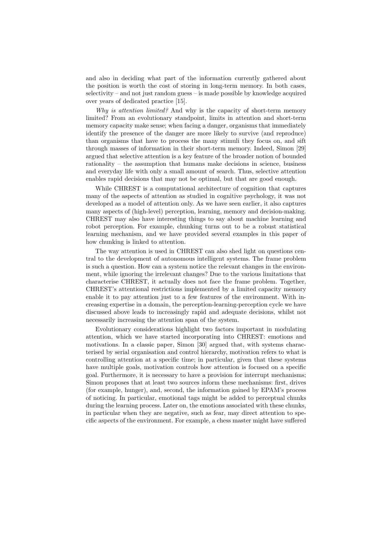and also in deciding what part of the information currently gathered about the position is worth the cost of storing in long-term memory. In both cases, selectivity – and not just random guess – is made possible by knowledge acquired over years of dedicated practice [15].

Why is attention limited? And why is the capacity of short-term memory limited? From an evolutionary standpoint, limits in attention and short-term memory capacity make sense; when facing a danger, organisms that immediately identify the presence of the danger are more likely to survive (and reproduce) than organisms that have to process the many stimuli they focus on, and sift through masses of information in their short-term memory. Indeed, Simon [29] argued that selective attention is a key feature of the broader notion of bounded rationality – the assumption that humans make decisions in science, business and everyday life with only a small amount of search. Thus, selective attention enables rapid decisions that may not be optimal, but that are good enough.

While CHREST is a computational architecture of cognition that captures many of the aspects of attention as studied in cognitive psychology, it was not developed as a model of attention only. As we have seen earlier, it also captures many aspects of (high-level) perception, learning, memory and decision-making. CHREST may also have interesting things to say about machine learning and robot perception. For example, chunking turns out to be a robust statistical learning mechanism, and we have provided several examples in this paper of how chunking is linked to attention.

The way attention is used in CHREST can also shed light on questions central to the development of autonomous intelligent systems. The frame problem is such a question. How can a system notice the relevant changes in the environment, while ignoring the irrelevant changes? Due to the various limitations that characterise CHREST, it actually does not face the frame problem. Together, CHREST's attentional restrictions implemented by a limited capacity memory enable it to pay attention just to a few features of the environment. With increasing expertise in a domain, the perception-learning-perception cycle we have discussed above leads to increasingly rapid and adequate decisions, whilst not necessarily increasing the attention span of the system.

Evolutionary considerations highlight two factors important in modulating attention, which we have started incorporating into CHREST: emotions and motivations. In a classic paper, Simon [30] argued that, with systems characterised by serial organisation and control hierarchy, motivation refers to what is controlling attention at a specific time; in particular, given that these systems have multiple goals, motivation controls how attention is focused on a specific goal. Furthermore, it is necessary to have a provision for interrupt mechanisms; Simon proposes that at least two sources inform these mechanisms: first, drives (for example, hunger), and, second, the information gained by EPAM's process of noticing. In particular, emotional tags might be added to perceptual chunks during the learning process. Later on, the emotions associated with these chunks, in particular when they are negative, such as fear, may direct attention to specific aspects of the environment. For example, a chess master might have suffered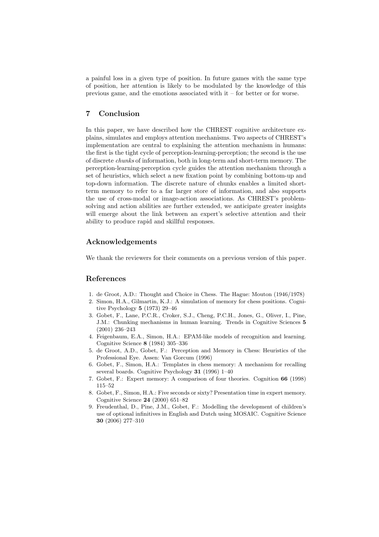a painful loss in a given type of position. In future games with the same type of position, her attention is likely to be modulated by the knowledge of this previous game, and the emotions associated with it – for better or for worse.

## 7 Conclusion

In this paper, we have described how the CHREST cognitive architecture explains, simulates and employs attention mechanisms. Two aspects of CHREST's implementation are central to explaining the attention mechanism in humans: the first is the tight cycle of perception-learning-perception; the second is the use of discrete chunks of information, both in long-term and short-term memory. The perception-learning-perception cycle guides the attention mechanism through a set of heuristics, which select a new fixation point by combining bottom-up and top-down information. The discrete nature of chunks enables a limited shortterm memory to refer to a far larger store of information, and also supports the use of cross-modal or image-action associations. As CHREST's problemsolving and action abilities are further extended, we anticipate greater insights will emerge about the link between an expert's selective attention and their ability to produce rapid and skillful responses.

# Acknowledgements

We thank the reviewers for their comments on a previous version of this paper.

# References

- 1. de Groot, A.D.: Thought and Choice in Chess. The Hague: Mouton (1946/1978)
- 2. Simon, H.A., Gilmartin, K.J.: A simulation of memory for chess positions. Cognitive Psychology 5 (1973) 29–46
- 3. Gobet, F., Lane, P.C.R., Croker, S.J., Cheng, P.C.H., Jones, G., Oliver, I., Pine, J.M.: Chunking mechanisms in human learning. Trends in Cognitive Sciences 5 (2001) 236–243
- 4. Feigenbaum, E.A., Simon, H.A.: EPAM-like models of recognition and learning. Cognitive Science 8 (1984) 305–336
- 5. de Groot, A.D., Gobet, F.: Perception and Memory in Chess: Heuristics of the Professional Eye. Assen: Van Gorcum (1996)
- 6. Gobet, F., Simon, H.A.: Templates in chess memory: A mechanism for recalling several boards. Cognitive Psychology 31 (1996) 1–40
- 7. Gobet, F.: Expert memory: A comparison of four theories. Cognition 66 (1998) 115–52
- 8. Gobet, F., Simon, H.A.: Five seconds or sixty? Presentation time in expert memory. Cognitive Science 24 (2000) 651–82
- 9. Freudenthal, D., Pine, J.M., Gobet, F.: Modelling the development of children's use of optional infinitives in English and Dutch using MOSAIC. Cognitive Science 30 (2006) 277–310